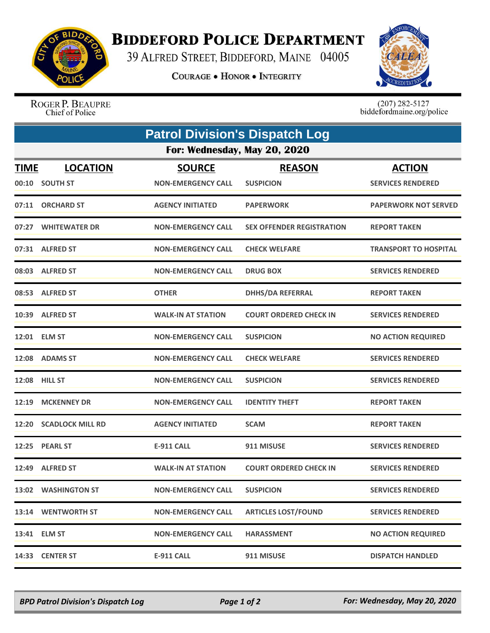

## **BIDDEFORD POLICE DEPARTMENT**

39 ALFRED STREET, BIDDEFORD, MAINE 04005

**COURAGE . HONOR . INTEGRITY** 



ROGER P. BEAUPRE Chief of Police

 $(207)$  282-5127<br>biddefordmaine.org/police

|             | <b>Patrol Division's Dispatch Log</b> |                                            |                                   |                                           |  |  |  |
|-------------|---------------------------------------|--------------------------------------------|-----------------------------------|-------------------------------------------|--|--|--|
|             | For: Wednesday, May 20, 2020          |                                            |                                   |                                           |  |  |  |
| <u>TIME</u> | <b>LOCATION</b><br>00:10 SOUTH ST     | <b>SOURCE</b><br><b>NON-EMERGENCY CALL</b> | <b>REASON</b><br><b>SUSPICION</b> | <b>ACTION</b><br><b>SERVICES RENDERED</b> |  |  |  |
|             | 07:11 ORCHARD ST                      | <b>AGENCY INITIATED</b>                    | <b>PAPERWORK</b>                  | <b>PAPERWORK NOT SERVED</b>               |  |  |  |
|             | 07:27 WHITEWATER DR                   | <b>NON-EMERGENCY CALL</b>                  | <b>SEX OFFENDER REGISTRATION</b>  | <b>REPORT TAKEN</b>                       |  |  |  |
|             | 07:31 ALFRED ST                       | <b>NON-EMERGENCY CALL</b>                  | <b>CHECK WELFARE</b>              | <b>TRANSPORT TO HOSPITAL</b>              |  |  |  |
|             | 08:03 ALFRED ST                       | <b>NON-EMERGENCY CALL</b>                  | <b>DRUG BOX</b>                   | <b>SERVICES RENDERED</b>                  |  |  |  |
|             | 08:53 ALFRED ST                       | <b>OTHER</b>                               | <b>DHHS/DA REFERRAL</b>           | <b>REPORT TAKEN</b>                       |  |  |  |
|             | 10:39 ALFRED ST                       | <b>WALK-IN AT STATION</b>                  | <b>COURT ORDERED CHECK IN</b>     | <b>SERVICES RENDERED</b>                  |  |  |  |
|             | 12:01 ELM ST                          | <b>NON-EMERGENCY CALL</b>                  | <b>SUSPICION</b>                  | <b>NO ACTION REQUIRED</b>                 |  |  |  |
|             | 12:08 ADAMS ST                        | <b>NON-EMERGENCY CALL</b>                  | <b>CHECK WELFARE</b>              | <b>SERVICES RENDERED</b>                  |  |  |  |
|             | 12:08 HILL ST                         | <b>NON-EMERGENCY CALL</b>                  | <b>SUSPICION</b>                  | <b>SERVICES RENDERED</b>                  |  |  |  |
|             | 12:19 MCKENNEY DR                     | <b>NON-EMERGENCY CALL</b>                  | <b>IDENTITY THEFT</b>             | <b>REPORT TAKEN</b>                       |  |  |  |
| 12:20       | <b>SCADLOCK MILL RD</b>               | <b>AGENCY INITIATED</b>                    | <b>SCAM</b>                       | <b>REPORT TAKEN</b>                       |  |  |  |
|             | 12:25 PEARL ST                        | <b>E-911 CALL</b>                          | 911 MISUSE                        | <b>SERVICES RENDERED</b>                  |  |  |  |
|             | 12:49 ALFRED ST                       | <b>WALK-IN AT STATION</b>                  | <b>COURT ORDERED CHECK IN</b>     | <b>SERVICES RENDERED</b>                  |  |  |  |
|             | 13:02 WASHINGTON ST                   | <b>NON-EMERGENCY CALL</b>                  | <b>SUSPICION</b>                  | <b>SERVICES RENDERED</b>                  |  |  |  |
|             | 13:14 WENTWORTH ST                    | <b>NON-EMERGENCY CALL</b>                  | <b>ARTICLES LOST/FOUND</b>        | <b>SERVICES RENDERED</b>                  |  |  |  |
|             | 13:41 ELM ST                          | <b>NON-EMERGENCY CALL</b>                  | <b>HARASSMENT</b>                 | <b>NO ACTION REQUIRED</b>                 |  |  |  |
|             | 14:33 CENTER ST                       | <b>E-911 CALL</b>                          | 911 MISUSE                        | <b>DISPATCH HANDLED</b>                   |  |  |  |